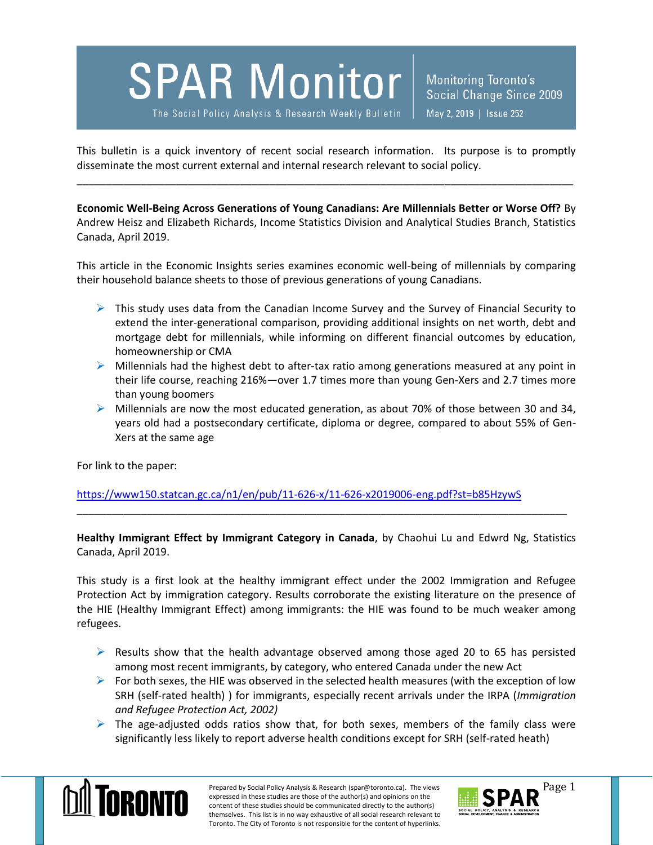## **SPAR Monitor**

The Social Policy Analysis & Research Weekly Bulletin

Monitoring Toronto's Social Change Since 2009 May 2, 2019 | Issue 252

This bulletin is a quick inventory of recent social research information. Its purpose is to promptly disseminate the most current external and internal research relevant to social policy.

\_\_\_\_\_\_\_\_\_\_\_\_\_\_\_\_\_\_\_\_\_\_\_\_\_\_\_\_\_\_\_\_\_\_\_\_\_\_\_\_\_\_\_\_\_\_\_\_\_\_\_\_\_\_\_\_\_\_\_\_\_\_\_\_\_\_\_\_\_\_\_\_\_\_\_\_\_\_\_\_\_\_\_\_\_

**Economic Well-Being Across Generations of Young Canadians: Are Millennials Better or Worse Off?** By Andrew Heisz and Elizabeth Richards, Income Statistics Division and Analytical Studies Branch, Statistics Canada, April 2019.

This article in the Economic Insights series examines economic well-being of millennials by comparing their household balance sheets to those of previous generations of young Canadians.

- $\triangleright$  This study uses data from the Canadian Income Survey and the Survey of Financial Security to extend the inter-generational comparison, providing additional insights on net worth, debt and mortgage debt for millennials, while informing on different financial outcomes by education, homeownership or CMA
- $\triangleright$  Millennials had the highest debt to after-tax ratio among generations measured at any point in their life course, reaching 216%—over 1.7 times more than young Gen-Xers and 2.7 times more than young boomers
- $\triangleright$  Millennials are now the most educated generation, as about 70% of those between 30 and 34, years old had a postsecondary certificate, diploma or degree, compared to about 55% of Gen-Xers at the same age

For link to the paper:

<https://www150.statcan.gc.ca/n1/en/pub/11-626-x/11-626-x2019006-eng.pdf?st=b85HzywS>

**Healthy Immigrant Effect by Immigrant Category in Canada**, by Chaohui Lu and Edwrd Ng, Statistics Canada, April 2019.

\_\_\_\_\_\_\_\_\_\_\_\_\_\_\_\_\_\_\_\_\_\_\_\_\_\_\_\_\_\_\_\_\_\_\_\_\_\_\_\_\_\_\_\_\_\_\_\_\_\_\_\_\_\_\_\_\_\_\_\_\_\_\_\_\_\_\_\_\_\_\_\_\_\_\_\_\_\_\_\_\_\_\_\_

This study is a first look at the healthy immigrant effect under the 2002 Immigration and Refugee Protection Act by immigration category. Results corroborate the existing literature on the presence of the HIE (Healthy Immigrant Effect) among immigrants: the HIE was found to be much weaker among refugees.

- $\triangleright$  Results show that the health advantage observed among those aged 20 to 65 has persisted among most recent immigrants, by category, who entered Canada under the new Act
- $\triangleright$  For both sexes, the HIE was observed in the selected health measures (with the exception of low SRH (self-rated health) ) for immigrants, especially recent arrivals under the IRPA (*Immigration and Refugee Protection Act, 2002)*
- $\triangleright$  The age-adjusted odds ratios show that, for both sexes, members of the family class were significantly less likely to report adverse health conditions except for SRH (self-rated heath)



Prepared by Social Policy Analysis & Research (spar@toronto.ca). The views Page 1 expressed in these studies are those of the author(s) and opinions on the content of these studies should be communicated directly to the author(s) themselves. This list is in no way exhaustive of all social research relevant to Toronto. The City of Toronto is not responsible for the content of hyperlinks.

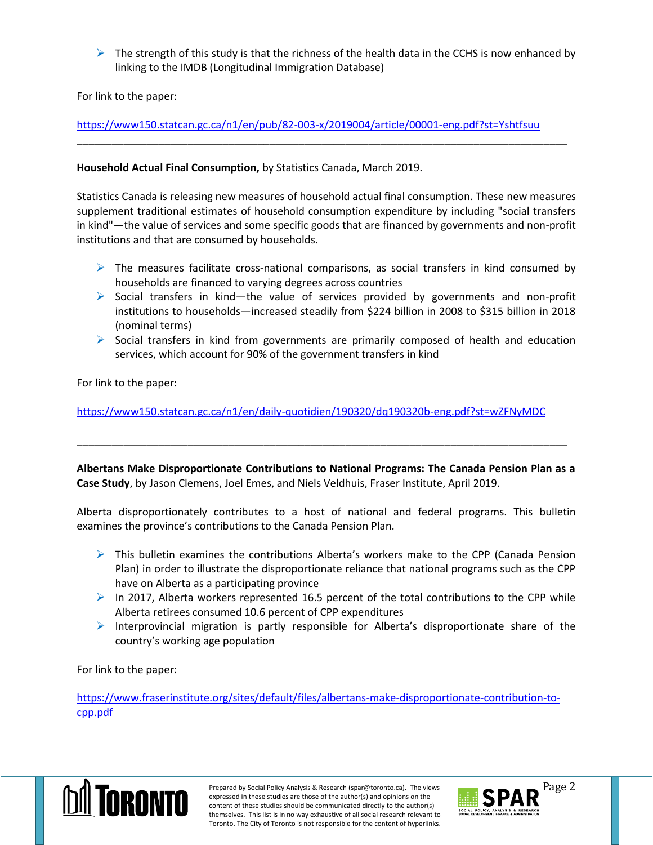$\triangleright$  The strength of this study is that the richness of the health data in the CCHS is now enhanced by linking to the IMDB (Longitudinal Immigration Database)

For link to the paper:

<https://www150.statcan.gc.ca/n1/en/pub/82-003-x/2019004/article/00001-eng.pdf?st=Yshtfsuu>

\_\_\_\_\_\_\_\_\_\_\_\_\_\_\_\_\_\_\_\_\_\_\_\_\_\_\_\_\_\_\_\_\_\_\_\_\_\_\_\_\_\_\_\_\_\_\_\_\_\_\_\_\_\_\_\_\_\_\_\_\_\_\_\_\_\_\_\_\_\_\_\_\_\_\_\_\_\_\_\_\_\_\_\_

## **Household Actual Final Consumption,** by Statistics Canada, March 2019.

Statistics Canada is releasing new measures of household actual final consumption. These new measures supplement traditional estimates of household consumption expenditure by including "social transfers in kind"—the value of services and some specific goods that are financed by governments and non-profit institutions and that are consumed by households.

- $\triangleright$  The measures facilitate cross-national comparisons, as social transfers in kind consumed by households are financed to varying degrees across countries
- $\triangleright$  Social transfers in kind—the value of services provided by governments and non-profit institutions to households—increased steadily from \$224 billion in 2008 to \$315 billion in 2018 (nominal terms)
- $\triangleright$  Social transfers in kind from governments are primarily composed of health and education services, which account for 90% of the government transfers in kind

For link to the paper:

<https://www150.statcan.gc.ca/n1/en/daily-quotidien/190320/dq190320b-eng.pdf?st=wZFNyMDC>

**Albertans Make Disproportionate Contributions to National Programs: The Canada Pension Plan as a Case Study**, by Jason Clemens, Joel Emes, and Niels Veldhuis, Fraser Institute, April 2019.

\_\_\_\_\_\_\_\_\_\_\_\_\_\_\_\_\_\_\_\_\_\_\_\_\_\_\_\_\_\_\_\_\_\_\_\_\_\_\_\_\_\_\_\_\_\_\_\_\_\_\_\_\_\_\_\_\_\_\_\_\_\_\_\_\_\_\_\_\_\_\_\_\_\_\_\_\_\_\_\_\_\_\_\_

Alberta disproportionately contributes to a host of national and federal programs. This bulletin examines the province's contributions to the Canada Pension Plan.

- $\triangleright$  This bulletin examines the contributions Alberta's workers make to the CPP (Canada Pension Plan) in order to illustrate the disproportionate reliance that national programs such as the CPP have on Alberta as a participating province
- In 2017, Alberta workers represented 16.5 percent of the total contributions to the CPP while Alberta retirees consumed 10.6 percent of CPP expenditures
- $\triangleright$  Interprovincial migration is partly responsible for Alberta's disproportionate share of the country's working age population

For link to the paper:

[https://www.fraserinstitute.org/sites/default/files/albertans-make-disproportionate-contribution-to](https://www.fraserinstitute.org/sites/default/files/albertans-make-disproportionate-contribution-to-cpp.pdf)[cpp.pdf](https://www.fraserinstitute.org/sites/default/files/albertans-make-disproportionate-contribution-to-cpp.pdf)